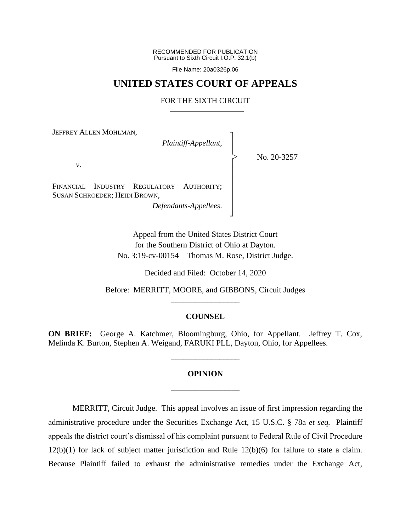RECOMMENDED FOR PUBLICATION Pursuant to Sixth Circuit I.O.P. 32.1(b)

File Name: 20a0326p.06

## **UNITED STATES COURT OF APPEALS**

### FOR THE SIXTH CIRCUIT

┐ │ │ │ │ │ │ │ │ ┘

|<br>|<br>|

JEFFREY ALLEN MOHLMAN,

*Plaintiff-Appellant*,

No. 20-3257

*v*.

FINANCIAL INDUSTRY REGULATORY AUTHORITY; SUSAN SCHROEDER; HEIDI BROWN,

*Defendants-Appellees*.

Appeal from the United States District Court for the Southern District of Ohio at Dayton. No. 3:19-cv-00154—Thomas M. Rose, District Judge.

Decided and Filed: October 14, 2020

Before: MERRITT, MOORE, and GIBBONS, Circuit Judges \_\_\_\_\_\_\_\_\_\_\_\_\_\_\_\_\_

### **COUNSEL**

**ON BRIEF:** George A. Katchmer, Bloomingburg, Ohio, for Appellant. Jeffrey T. Cox, Melinda K. Burton, Stephen A. Weigand, FARUKI PLL, Dayton, Ohio, for Appellees.

\_\_\_\_\_\_\_\_\_\_\_\_\_\_\_\_\_

# **OPINION** \_\_\_\_\_\_\_\_\_\_\_\_\_\_\_\_\_

MERRITT, Circuit Judge. This appeal involves an issue of first impression regarding the administrative procedure under the Securities Exchange Act, 15 U.S.C. § 78a *et seq.* Plaintiff appeals the district court's dismissal of his complaint pursuant to Federal Rule of Civil Procedure 12(b)(1) for lack of subject matter jurisdiction and Rule 12(b)(6) for failure to state a claim. Because Plaintiff failed to exhaust the administrative remedies under the Exchange Act,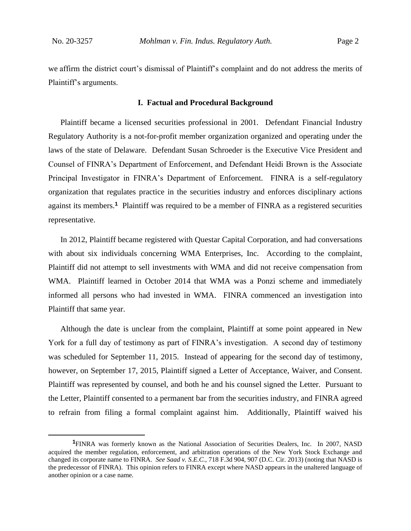we affirm the district court's dismissal of Plaintiff's complaint and do not address the merits of Plaintiff's arguments.

#### **I. Factual and Procedural Background**

Plaintiff became a licensed securities professional in 2001. Defendant Financial Industry Regulatory Authority is a not-for-profit member organization organized and operating under the laws of the state of Delaware. Defendant Susan Schroeder is the Executive Vice President and Counsel of FINRA's Department of Enforcement, and Defendant Heidi Brown is the Associate Principal Investigator in FINRA's Department of Enforcement. FINRA is a self-regulatory organization that regulates practice in the securities industry and enforces disciplinary actions against its members.**<sup>1</sup>** Plaintiff was required to be a member of FINRA as a registered securities representative.

In 2012, Plaintiff became registered with Questar Capital Corporation, and had conversations with about six individuals concerning WMA Enterprises, Inc. According to the complaint, Plaintiff did not attempt to sell investments with WMA and did not receive compensation from WMA. Plaintiff learned in October 2014 that WMA was a Ponzi scheme and immediately informed all persons who had invested in WMA. FINRA commenced an investigation into Plaintiff that same year.

Although the date is unclear from the complaint, Plaintiff at some point appeared in New York for a full day of testimony as part of FINRA's investigation. A second day of testimony was scheduled for September 11, 2015. Instead of appearing for the second day of testimony, however, on September 17, 2015, Plaintiff signed a Letter of Acceptance, Waiver, and Consent. Plaintiff was represented by counsel, and both he and his counsel signed the Letter. Pursuant to the Letter, Plaintiff consented to a permanent bar from the securities industry, and FINRA agreed to refrain from filing a formal complaint against him. Additionally, Plaintiff waived his

**<sup>1</sup>**FINRA was formerly known as the National Association of Securities Dealers, Inc. In 2007, NASD acquired the member regulation, enforcement, and arbitration operations of the New York Stock Exchange and changed its corporate name to FINRA. *See Saad v. S.E.C.*, 718 F.3d 904, 907 (D.C. Cir. 2013) (noting that NASD is the predecessor of FINRA).This opinion refers to FINRA except where NASD appears in the unaltered language of another opinion or a case name.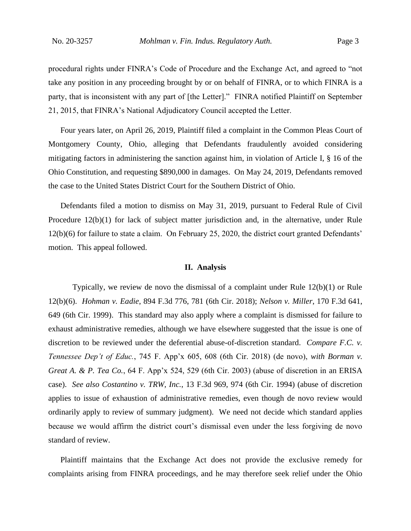procedural rights under FINRA's Code of Procedure and the Exchange Act, and agreed to "not take any position in any proceeding brought by or on behalf of FINRA, or to which FINRA is a party, that is inconsistent with any part of [the Letter]." FINRA notified Plaintiff on September 21, 2015, that FINRA's National Adjudicatory Council accepted the Letter.

Four years later, on April 26, 2019, Plaintiff filed a complaint in the Common Pleas Court of Montgomery County, Ohio, alleging that Defendants fraudulently avoided considering mitigating factors in administering the sanction against him, in violation of Article I, § 16 of the Ohio Constitution, and requesting \$890,000 in damages. On May 24, 2019, Defendants removed the case to the United States District Court for the Southern District of Ohio.

Defendants filed a motion to dismiss on May 31, 2019, pursuant to Federal Rule of Civil Procedure 12(b)(1) for lack of subject matter jurisdiction and, in the alternative, under Rule 12(b)(6) for failure to state a claim. On February 25, 2020, the district court granted Defendants' motion. This appeal followed.

### **II. Analysis**

Typically, we review de novo the dismissal of a complaint under Rule 12(b)(1) or Rule 12(b)(6). *Hohman v. Eadie*, 894 F.3d 776, 781 (6th Cir. 2018); *Nelson v. Miller*, 170 F.3d 641, 649 (6th Cir. 1999). This standard may also apply where a complaint is dismissed for failure to exhaust administrative remedies, although we have elsewhere suggested that the issue is one of discretion to be reviewed under the deferential abuse-of-discretion standard. *Compare F.C. v. Tennessee Dep't of Educ.*, 745 F. App'x 605, 608 (6th Cir. 2018) (de novo), *with Borman v. Great A. & P. Tea Co.*, 64 F. App'x 524, 529 (6th Cir. 2003) (abuse of discretion in an ERISA case). *See also Costantino v. TRW, Inc.*, 13 F.3d 969, 974 (6th Cir. 1994) (abuse of discretion applies to issue of exhaustion of administrative remedies, even though de novo review would ordinarily apply to review of summary judgment). We need not decide which standard applies because we would affirm the district court's dismissal even under the less forgiving de novo standard of review.

Plaintiff maintains that the Exchange Act does not provide the exclusive remedy for complaints arising from FINRA proceedings, and he may therefore seek relief under the Ohio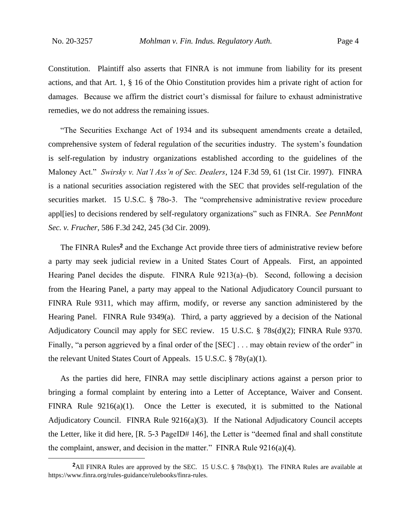Constitution. Plaintiff also asserts that FINRA is not immune from liability for its present actions, and that Art. 1, § 16 of the Ohio Constitution provides him a private right of action for damages. Because we affirm the district court's dismissal for failure to exhaust administrative remedies, we do not address the remaining issues.

"The Securities Exchange Act of 1934 and its subsequent amendments create a detailed, comprehensive system of federal regulation of the securities industry. The system's foundation is self-regulation by industry organizations established according to the guidelines of the Maloney Act." *Swirsky v. Nat'l Ass'n of Sec. Dealers*, 124 F.3d 59, 61 (1st Cir. 1997). FINRA is a national securities association registered with the SEC that provides self-regulation of the securities market. 15 U.S.C. § 780-3. The "comprehensive administrative review procedure appl[ies] to decisions rendered by self-regulatory organizations" such as FINRA. *See PennMont Sec. v. Frucher*, 586 F.3d 242, 245 (3d Cir. 2009).

The FINRA Rules**<sup>2</sup>** and the Exchange Act provide three tiers of administrative review before a party may seek judicial review in a United States Court of Appeals. First, an appointed Hearing Panel decides the dispute. FINRA Rule  $9213(a)$ –(b). Second, following a decision from the Hearing Panel, a party may appeal to the National Adjudicatory Council pursuant to FINRA Rule 9311, which may affirm, modify, or reverse any sanction administered by the Hearing Panel. FINRA Rule 9349(a). Third, a party aggrieved by a decision of the National Adjudicatory Council may apply for SEC review. 15 U.S.C. § 78s(d)(2); FINRA Rule 9370. Finally, "a person aggrieved by a final order of the [SEC] . . . may obtain review of the order" in the relevant United States Court of Appeals. 15 U.S.C. § 78y(a)(1).

As the parties did here, FINRA may settle disciplinary actions against a person prior to bringing a formal complaint by entering into a Letter of Acceptance, Waiver and Consent. FINRA Rule 9216(a)(1). Once the Letter is executed, it is submitted to the National Adjudicatory Council. FINRA Rule 9216(a)(3). If the National Adjudicatory Council accepts the Letter, like it did here, [R. 5-3 PageID# 146], the Letter is "deemed final and shall constitute the complaint, answer, and decision in the matter." FINRA Rule  $9216(a)(4)$ .

**<sup>2</sup>**All FINRA Rules are approved by the SEC. 15 U.S.C. § 78s(b)(1). The FINRA Rules are available at https://www.finra.org/rules-guidance/rulebooks/finra-rules.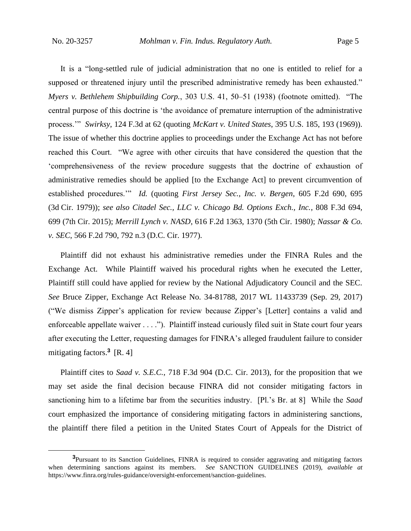It is a "long-settled rule of judicial administration that no one is entitled to relief for a supposed or threatened injury until the prescribed administrative remedy has been exhausted." *Myers v. Bethlehem Shipbuilding Corp.*, 303 U.S. 41, 50–51 (1938) (footnote omitted). "The central purpose of this doctrine is 'the avoidance of premature interruption of the administrative process.'" *Swirksy*, 124 F.3d at 62 (quoting *McKart v. United States*, 395 U.S. 185, 193 (1969)). The issue of whether this doctrine applies to proceedings under the Exchange Act has not before reached this Court. "We agree with other circuits that have considered the question that the 'comprehensiveness of the review procedure suggests that the doctrine of exhaustion of administrative remedies should be applied [to the Exchange Act] to prevent circumvention of established procedures.'" *Id.* (quoting *First Jersey Sec., Inc. v. Bergen*, 605 F.2d 690, 695 (3d Cir. 1979)); *see also Citadel Sec., LLC v. Chicago Bd. Options Exch., Inc.*, 808 F.3d 694, 699 (7th Cir. 2015); *Merrill Lynch v. NASD*, 616 F.2d 1363, 1370 (5th Cir. 1980); *Nassar & Co. v. SEC*, 566 F.2d 790, 792 n.3 (D.C. Cir. 1977).

Plaintiff did not exhaust his administrative remedies under the FINRA Rules and the Exchange Act. While Plaintiff waived his procedural rights when he executed the Letter, Plaintiff still could have applied for review by the National Adjudicatory Council and the SEC. *See* Bruce Zipper, Exchange Act Release No. 34-81788, 2017 WL 11433739 (Sep. 29, 2017) ("We dismiss Zipper's application for review because Zipper's [Letter] contains a valid and enforceable appellate waiver . . . ."). Plaintiff instead curiously filed suit in State court four years after executing the Letter, requesting damages for FINRA's alleged fraudulent failure to consider mitigating factors.**<sup>3</sup>** [R. 4]

Plaintiff cites to *Saad v. S.E.C.*, 718 F.3d 904 (D.C. Cir. 2013), for the proposition that we may set aside the final decision because FINRA did not consider mitigating factors in sanctioning him to a lifetime bar from the securities industry. [Pl.'s Br. at 8] While the *Saad*  court emphasized the importance of considering mitigating factors in administering sanctions, the plaintiff there filed a petition in the United States Court of Appeals for the District of

**<sup>3</sup>**Pursuant to its Sanction Guidelines, FINRA is required to consider aggravating and mitigating factors when determining sanctions against its members. *See* SANCTION GUIDELINES (2019), *available at* https://www.finra.org/rules-guidance/oversight-enforcement/sanction-guidelines.